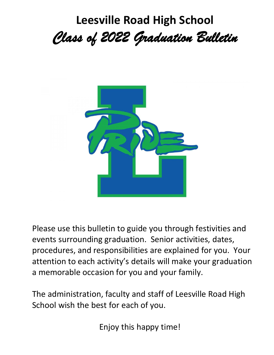# **Leesville Road High School** *Class of 2022 Graduation Bulletin*



Please use this bulletin to guide you through festivities and events surrounding graduation. Senior activities, dates, procedures, and responsibilities are explained for you. Your attention to each activity's details will make your graduation a memorable occasion for you and your family.

The administration, faculty and staff of Leesville Road High School wish the best for each of you.

Enjoy this happy time!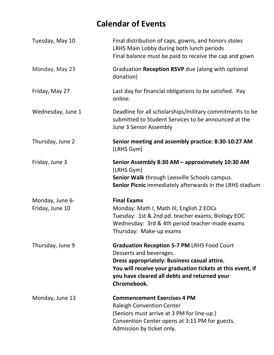## **Calendar of Events**

| Tuesday, May 10                    | Final distribution of caps, gowns, and honors stoles<br>LRHS Main Lobby during both lunch periods<br>Final balance must be paid to receive the cap and gown                                                                                                |
|------------------------------------|------------------------------------------------------------------------------------------------------------------------------------------------------------------------------------------------------------------------------------------------------------|
| Monday, May 23                     | Graduation Reception RSVP due (along with optional<br>donation)                                                                                                                                                                                            |
| Friday, May 27                     | Last day for financial obligations to be satisfied. Pay<br>online.                                                                                                                                                                                         |
| Wednesday, June 1                  | Deadline for all scholarships/military commitments to be<br>submitted to Student Services to be announced at the<br>June 3 Senior Assembly                                                                                                                 |
| Thursday, June 2                   | Senior meeting and assembly practice: 8:30-10:27 AM<br>(LRHS Gym)                                                                                                                                                                                          |
| Friday, June 3                     | Senior Assembly 8:30 AM - approximately 10:30 AM<br>(LRHS Gym)<br>Senior Walk through Leesville Schools campus.<br>Senior Picnic immediately afterwards in the LRHS stadium                                                                                |
| Monday, June 6-<br>Friday, June 10 | <b>Final Exams</b><br>Monday: Math I, Math III, English 2 EOCs<br>Tuesday: 1st & 2nd pd. teacher exams; Biology EOC<br>Wednesday: 3rd & 4th period teacher-made exams<br>Thursday: Make-up exams                                                           |
| Thursday, June 9                   | <b>Graduation Reception 5-7 PM LRHS Food Court</b><br>Desserts and beverages.<br>Dress appropriately: Business casual attire.<br>You will receive your graduation tickets at this event, if<br>you have cleared all debts and returned your<br>Chromebook. |
| Monday, June 13                    | <b>Commencement Exercises 4 PM</b><br><b>Raleigh Convention Center</b><br>(Seniors must arrive at 3 PM for line-up.)<br>Convention Center opens at 3:15 PM for guests.<br>Admission by ticket only.                                                        |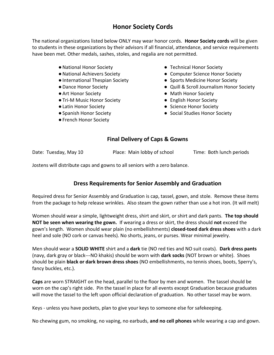### **Honor Society Cords**

The national organizations listed below ONLY may wear honor cords. **Honor Society cords** will be given to students in these organizations by their advisors if all financial, attendance, and service requirements have been met. Other medals, sashes, stoles, and regalia are not permitted.

- ●National Honor Society
- ●National Achievers Society
- ●International Thespian Society
- ●Dance Honor Society
- Art Honor Society
- Tri-M Music Honor Society
- ●Latin Honor Society
- ●Spanish Honor Society
- ●French Honor Society
- Technical Honor Society
- Computer Science Honor Society
- Sports Medicine Honor Society
- Quill & Scroll Journalism Honor Society
- Math Honor Society
- English Honor Society
- Science Honor Society
- Social Studies Honor Society

#### **Final Delivery of Caps & Gowns**

Date: Tuesday, May 10 Place: Main lobby of school Time: Both lunch periods

Jostens will distribute caps and gowns to all seniors with a zero balance.

#### **Dress Requirements for Senior Assembly and Graduation**

Required dress for Senior Assembly and Graduation is cap, tassel, gown, and stole. Remove these items from the package to help release wrinkles. Also steam the gown rather than use a hot iron. (It will melt)

Women should wear a simple, lightweight dress, shirt and skirt, or shirt and dark pants. **The top should NOT be seen when wearing the gown.** If wearing a dress or skirt, the dress should **not** exceed the gown's length. Women should wear plain (no embellishments) **closed-toed dark dress shoes** with a dark heel and sole (NO cork or canvas heels). No shorts, jeans, or purses. Wear minimal jewelry.

Men should wear a **SOLID WHITE** shirt and a **dark** tie (NO red ties and NO suit coats). **Dark dress pants** (navy, dark gray or black---NO khakis) should be worn with **dark socks** (NOT brown or white). Shoes should be plain **black or dark brown dress shoes** (NO embellishments, no tennis shoes, boots, Sperry's, fancy buckles, etc.).

**Caps** are worn STRAIGHT on the head, parallel to the floor by men and women. The tassel should be worn on the cap's right side. Pin the tassel in place for all events except Graduation because graduates will move the tassel to the left upon official declaration of graduation. No other tassel may be worn.

Keys - unless you have pockets, plan to give your keys to someone else for safekeeping.

No chewing gum, no smoking, no vaping, no earbuds, **and no cell phones** while wearing a cap and gown.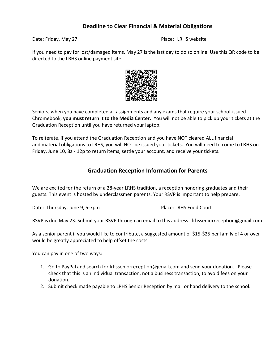#### **Deadline to Clear Financial & Material Obligations**

Date: Friday, May 27 Place: LRHS website

If you need to pay for lost/damaged items, May 27 is the last day to do so online. Use this QR code to be directed to the LRHS online payment site.



Seniors, when you have completed all assignments and any exams that require your school-issued Chromebook, **you must return it to the Media Center.** You will not be able to pick up your tickets at the Graduation Reception until you have returned your laptop.

To reiterate, if you attend the Graduation Reception and you have NOT cleared ALL financial and material obligations to LRHS, you will NOT be issued your tickets. You will need to come to LRHS on Friday, June 10, 8a - 12p to return items, settle your account, and receive your tickets.

#### **Graduation Reception Information for Parents**

We are excited for the return of a 28-year LRHS tradition, a reception honoring graduates and their guests. This event is hosted by underclassmen parents. Your RSVP is important to help prepare.

Date: Thursday, June 9, 5-7pm Place: LRHS Food Court

RSVP is due May 23. Submit your RSVP through an email to this address: lrhsseniorreception@gmail.com

As a senior parent if you would like to contribute, a suggested amount of \$15-\$25 per family of 4 or over would be greatly appreciated to help offset the costs.

You can pay in one of two ways:

- 1. Go to PayPal and search for [lrhss](mailto:lrhsgradreception@gmail.com)eniorreception@gmail.com and send your donation. Please check that this is an individual transaction, not a business transaction, to avoid fees on your donation.
- 2. Submit check made payable to LRHS Senior Reception by mail or hand delivery to the school.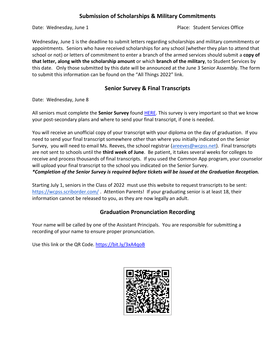#### **Submission of Scholarships & Military Commitments**

Date: Wednesday, June 1 and 2008 and 2008 and 2012 and 2012 and 2013 and 2014 and 2013 and 2014 and 2013 and 20

Wednesday, June 1 is the deadline to submit letters regarding scholarships and military commitments or appointments. Seniors who have received scholarships for any school (whether they plan to attend that school or not) or letters of commitment to enter a branch of the armed services should submit a **copy of that letter, along with the scholarship amount** or which **branch of the military**, to Student Services by this date. Only those submitted by this date will be announced at the June 3 Senior Assembly. The form to submit this information can be found on the "All Things 2022" link.

#### **Senior Survey & Final Transcripts**

Date: Wednesday, June 8

All seniors must complete the **Senior Survey** found [HERE.](https://docs.google.com/forms/d/e/1FAIpQLSdeu5BeVZOB_BSsdAf6euKZ6j6NnN28phgXzwCoAFRVBYY0fw/viewform?usp=sf_link) This survey is very important so that we know your post-secondary plans and where to send your final transcript, if one is needed.

You will receive an unofficial copy of your transcript with your diploma on the day of graduation. If you need to send your final transcript somewhere other than where you initially indicated on the Senior Survey, you will need to email Ms. Reeves, the school registrar [\(areeves@wcpss.net\)](mailto:areeves@wcpss.net). Final transcripts are not sent to schools until the **third week of June**. Be patient, it takes several weeks for colleges to receive and process thousands of final transcripts. If you used the Common App program, your counselor will upload your final transcript to the school you indicated on the Senior Survey.

*\*Completion of the Senior Survey is required before tickets will be issued at the Graduation Reception.*

Starting July 1, seniors in the Class of 2022 must use this website to request transcripts to be sent: <https://wcpss.scriborder.com/>. Attention Parents! If your graduating senior is at least 18, their information cannot be released to you, as they are now legally an adult.

#### **Graduation Pronunciation Recording**

Your name will be called by one of the Assistant Principals. You are responsible for submitting a recording of your name to ensure proper pronunciation.

Use this link or the QR Code. <https://bit.ly/3xA4qoB>

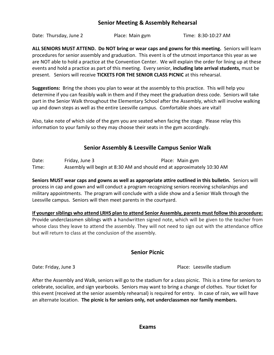#### **Senior Meeting & Assembly Rehearsal**

Date: Thursday, June 2 **Place: Main gym** Time: 8:30-10:27 AM

**ALL SENIORS MUST ATTEND. Do NOT bring or wear caps and gowns for this meeting.** Seniors will learn procedures for senior assembly and graduation. This event is of the utmost importance this year as we are NOT able to hold a practice at the Convention Center. We will explain the order for lining up at these events and hold a practice as part of this meeting. Every senior, **including late arrival students,** must be present. Seniors will receive **TICKETS FOR THE SENIOR CLASS PICNIC** at this rehearsal.

**Suggestions:** Bring the shoes you plan to wear at the assembly to this practice. This will help you determine if you can feasibly walk in them and if they meet the graduation dress code. Seniors will take part in the Senior Walk throughout the Elementary School after the Assembly, which will involve walking up and down steps as well as the entire Leesville campus. Comfortable shoes are vital!

Also, take note of which side of the gym you are seated when facing the stage. Please relay this information to your family so they may choose their seats in the gym accordingly.

#### **Senior Assembly & Leesville Campus Senior Walk**

Date: Friday, June 3 Place: Main gym Time: Assembly will begin at 8:30 AM and should end at approximately 10:30 AM

**Seniors MUST wear caps and gowns as well as appropriate attire outlined in this bulletin.** Seniors will process in cap and gown and will conduct a program recognizing seniors receiving scholarships and military appointments. The program will conclude with a slide show and a Senior Walk through the Leesville campus. Seniors will then meet parents in the courtyard.

**If younger siblings who attend LRHS plan to attend Senior Assembly, parents must follow this procedure:** Provide underclassmen siblings with a handwritten signed note, which will be given to the teacher from whose class they leave to attend the assembly. They will not need to sign out with the attendance office but will return to class at the conclusion of the assembly.

#### **Senior Picnic**

Date: Friday, June 3 **Place: Leesville stadium** 

After the Assembly and Walk, seniors will go to the stadium for a class picnic. This is a time for seniors to celebrate, socialize, and sign yearbooks. Seniors may want to bring a change of clothes. Your ticket for this event (received at the senior assembly rehearsal) is required for entry. In case of rain, we will have an alternate location. **The picnic is for seniors only, not underclassmen nor family members.**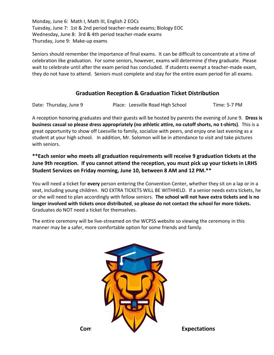Monday, June 6: Math I, Math III, English 2 EOCs Tuesday, June 7: 1st & 2nd period teacher-made exams; Biology EOC Wednesday, June 8: 3rd & 4th period teacher-made exams Thursday, June 9: Make-up exams

Seniors should remember the importance of final exams. It can be difficult to concentrate at a time of celebration like graduation. For some seniors, however, exams will determine *if* they graduate. Please wait to celebrate until after the exam period has concluded. If students exempt a teacher-made exam, they do not have to attend. Seniors must complete and stay for the entire exam period for all exams.

#### **Graduation Reception & Graduation Ticket Distribution**

Date: Thursday, June 9 Place: Leesville Road High School Time: 5-7 PM

A reception honoring graduates and their guests will be hosted by parents the evening of June 9. **Dress is business casual so please dress appropriately (no athletic attire, no cutoff shorts, no t-shirts)**. This is a great opportunity to show off Leesville to family, socialize with peers, and enjoy one last evening as a student at your high school. In addition, Mr. Solomon will be in attendance to visit and take pictures with seniors.

**\*\*Each senior who meets all graduation requirements will receive 9 graduation tickets at the June 9th reception. If you cannot attend the reception, you must pick up your tickets in LRHS Student Services on Friday morning, June 10, between 8 AM and 12 PM.\*\***

You will need a ticket for **every** person entering the Convention Center, whether they sit on a lap or in a seat, including young children. NO EXTRA TICKETS WILL BE WITHHELD. If a senior needs extra tickets, he or she will need to plan accordingly with fellow seniors. **The school will not have extra tickets and is no longer involved with tickets once distributed**, **so please do not contact the school for more tickets.** Graduates do NOT need a ticket for themselves.

The entire ceremony will be live-streamed on the WCPSS website so viewing the ceremony in this manner may be a safer, more comfortable option for some friends and family.

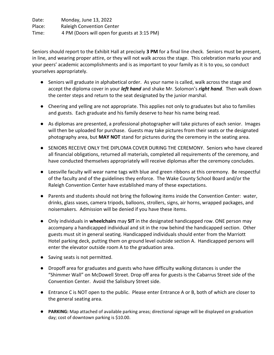Date: Monday, June 13, 2022 Place: Raleigh Convention Center Time: 4 PM (Doors will open for guests at 3:15 PM)

Seniors should report to the Exhibit Hall at precisely **3 PM** for a final line check. Seniors must be present, in line, and wearing proper attire, or they will not walk across the stage. This celebration marks your and your peers' academic accomplishments and is as important to your family as it is to you, so conduct yourselves appropriately.

- Seniors will graduate in alphabetical order. As your name is called, walk across the stage and accept the diploma cover in your *left hand* and shake Mr. Solomon's *right hand*. Then walk down the center steps and return to the seat designated by the junior marshal.
- Cheering and yelling are not appropriate. This applies not only to graduates but also to families and guests. Each graduate and his family deserve to hear his name being read.
- As diplomas are presented, a professional photographer will take pictures of each senior. Images will then be uploaded for purchase. Guests may take pictures from their seats or the designated photography area, but **MAY NOT** stand for pictures during the ceremony in the seating area.
- SENIORS RECEIVE ONLY THE DIPLOMA COVER DURING THE CEREMONY. Seniors who have cleared all financial obligations, returned all materials, completed all requirements of the ceremony, and have conducted themselves appropriately will receive diplomas after the ceremony concludes.
- Leesville faculty will wear name tags with blue and green ribbons at this ceremony. Be respectful of the faculty and of the guidelines they enforce. The Wake County School Board and/or the Raleigh Convention Center have established many of these expectations.
- Parents and students should not bring the following items inside the Convention Center: water, drinks, glass vases, camera tripods, balloons, strollers, signs, air horns, wrapped packages, and noisemakers. Admission will be denied if you have these items.
- Only individuals in **wheelchairs** may **SIT** in the designated handicapped row. ONE person may accompany a handicapped individual and sit in the row behind the handicapped section. Other guests must sit in general seating. Handicapped individuals should enter from the Marriott Hotel parking deck, putting them on ground level outside section A. Handicapped persons will enter the elevator outside room A to the graduation area.
- Saving seats is not permitted.
- Dropoff area for graduates and guests who have difficulty walking distances is under the "Shimmer Wall" on McDowell Street. Drop off area for guests is the Cabarrus Street side of the Convention Center. Avoid the Salisbury Street side.
- Entrance C is NOT open to the public. Please enter Entrance A or B, both of which are closer to the general seating area.
- **PARKING:** Map attached of available parking areas; directional signage will be displayed on graduation day; cost of downtown parking is \$10.00.